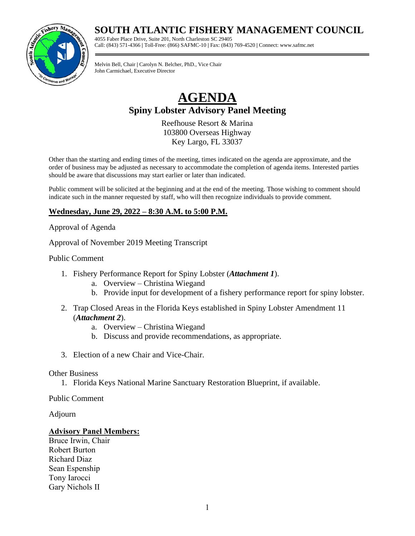## **SOUTH ATLANTIC FISHERY MANAGEMENT COUNCIL**

4055 Faber Place Drive, Suite 201, North Charleston SC 29405 Call: (843) 571-4366 **|** Toll-Free: (866) SAFMC-10 **|** Fax: (843) 769-4520 **|** Connect: www.safmc.net

Melvin Bell, Chair **|** Carolyn N. Belcher, PhD., Vice Chair John Carmichael, Executive Director

# **AGENDA Spiny Lobster Advisory Panel Meeting**

Reefhouse Resort & Marina 103800 Overseas Highway Key Largo, FL 33037

Other than the starting and ending times of the meeting, times indicated on the agenda are approximate, and the order of business may be adjusted as necessary to accommodate the completion of agenda items. Interested parties should be aware that discussions may start earlier or later than indicated.

Public comment will be solicited at the beginning and at the end of the meeting. Those wishing to comment should indicate such in the manner requested by staff, who will then recognize individuals to provide comment.

### **Wednesday, June 29, 2022 – 8:30 A.M. to 5:00 P.M.**

Approval of Agenda

Approval of November 2019 Meeting Transcript

Public Comment

- 1. Fishery Performance Report for Spiny Lobster (*Attachment 1*).
	- a. Overview Christina Wiegand
	- b. Provide input for development of a fishery performance report for spiny lobster.
- 2. Trap Closed Areas in the Florida Keys established in Spiny Lobster Amendment 11 (*Attachment 2*).
	- a. Overview Christina Wiegand
	- b. Discuss and provide recommendations, as appropriate.
- 3. Election of a new Chair and Vice-Chair.

#### Other Business

1. Florida Keys National Marine Sanctuary Restoration Blueprint, if available.

Public Comment

Adjourn

#### **Advisory Panel Members:**

Bruce Irwin, Chair Robert Burton Richard Diaz Sean Espenship Tony Iarocci Gary Nichols II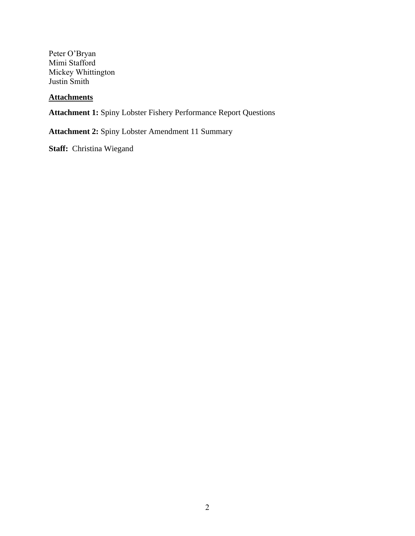Peter O'Bryan Mimi Stafford Mickey Whittington Justin Smith

### **Attachments**

**Attachment 1:** Spiny Lobster Fishery Performance Report Questions

**Attachment 2:** Spiny Lobster Amendment 11 Summary

**Staff:** Christina Wiegand